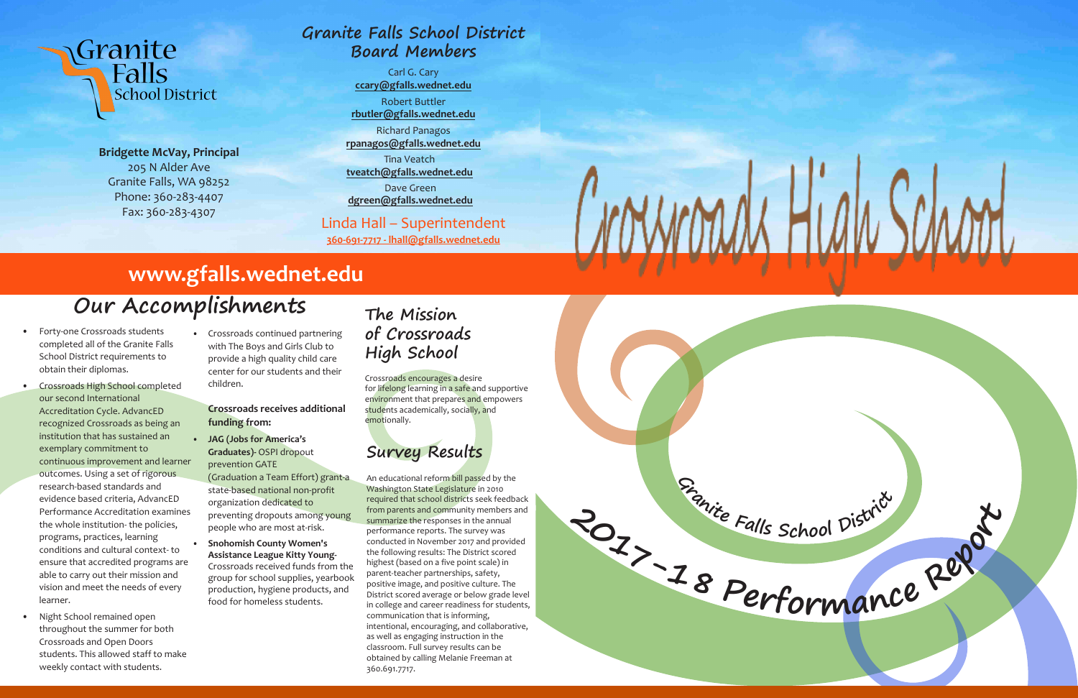

**Bridgette McVay, Principal**  205 N Alder Ave Granite Falls, WA 98252 Phone: 360-283-4407 Fax: 360-283-4307

**School District** 

Granite

Falls

- Forty-one Crossroads students completed all of the Granite Falls School District requirements to obtain their diplomas.
- Crossroads High School completed our second International Accreditation Cycle. AdvancED recognized Crossroads as being an institution that has sustained an exemplary commitment to continuous improvement and learner outcomes. Using a set of rigorous research-based standards and evidence based criteria, AdvancED Performance Accreditation examines the whole institution- the policies, programs, practices, learning conditions and cultural context- to ensure that accredited programs are able to carry out their mission and vision and meet the needs of every learner.
- Night School remained open throughout the summer for both Crossroads and Open Doors students. This allowed staff to make weekly contact with students.

• Crossroads continued partnering with The Boys and Girls Club to provide a high quality child care center for our students and their children.

### **Crossroads receives additional funding from:**

• **JAG (Jobs for America's Graduates)-** OSPI dropout prevention GATE

(Graduation a Team Effort) grant-a state-based national non-profit organization dedicated to preventing dropouts among young people who are most at-risk.

• **Snohomish County Women's Assistance League Kitty Young-**Crossroads received funds from the group for school supplies, yearbook production, hygiene products, and food for homeless students.

# **Our Accomplishments**

# **www.gfalls.wednet.edu**

# **Granite Falls School District Board Members**

Carl G. Cary **ccary@gfalls.wednet.edu**

Robert Buttler **rbutler@gfalls.wednet.edu**

Richard Panagos **rpanagos@gfalls.wednet.edu**

Tina Veatch **tveatch@gfalls.wednet.edu**

Dave Green **dgreen@gfalls.wednet.edu**

### Linda Hall – Superintendent

**360-691-7717 - lhall@gfalls.wednet.edu**

## **The Mission of Crossroads High School**

Crossroads encourages a desire for lifelong learning in a safe and supportive environment that prepares and empowers students academically, socially, and emotionally.

# **Survey Results**

An educational reform bill passed by the Washington State Legislature in 2010 required that school districts seek feedback from parents and community members and summarize the responses in the annual performance reports. The survey was conducted in November 2017 and provided the following results: The District scored highest (based on a five point scale) in parent-teacher partnerships, safety, positive image, and positive culture. The District scored average or below grade level in college and career readiness for students, communication that is informing, intentional, encouraging, and collaborative, as well as engaging instruction in the classroom. Full survey results can be obtained by calling Melanie Freeman at 360.691.7717.